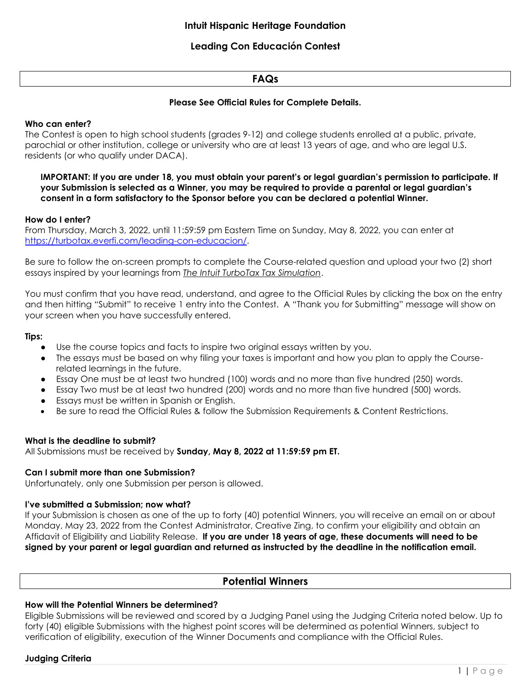**Intuit Hispanic Heritage Foundation**

### **Leading Con Educación Contest**

# **FAQs**

### **Please See Official Rules for Complete Details.**

### **Who can enter?**

The Contest is open to high school students (grades 9-12) and college students enrolled at a public, private, parochial or other institution, college or university who are at least 13 years of age, and who are legal U.S. residents (or who qualify under DACA).

#### **IMPORTANT: If you are under 18, you must obtain your parent's or legal guardian's permission to participate. If your Submission is selected as a Winner, you may be required to provide a parental or legal guardian's consent in a form satisfactory to the Sponsor before you can be declared a potential Winner.**

#### **How do I enter?**

From Thursday, March 3, 2022, until 11:59:59 pm Eastern Time on Sunday, May 8, 2022, you can enter at [https://turbotax.everfi.com/leading-con-educacion/.](https://turbotax.everfi.com/leading-con-educacion/)

Be sure to follow the on-screen prompts to complete the Course-related question and upload your two (2) short essays inspired by your learnings from *The Intuit TurboTax Tax Simulation*.

You must confirm that you have read, understand, and agree to the Official Rules by clicking the box on the entry and then hitting "Submit" to receive 1 entry into the Contest. A "Thank you for Submitting" message will show on your screen when you have successfully entered.

#### **Tips:**

- Use the course topics and facts to inspire two original essays written by you.
- The essays must be based on why filing your taxes is important and how you plan to apply the Courserelated learnings in the future.
- Essay One must be at least two hundred (100) words and no more than five hundred (250) words.
- Essay Two must be at least two hundred (200) words and no more than five hundred (500) words.
- Essays must be written in Spanish or English.
- Be sure to read the Official Rules & follow the Submission Requirements & Content Restrictions.

#### **What is the deadline to submit?**

All Submissions must be received by **Sunday, May 8, 2022 at 11:59:59 pm ET.**

#### **Can I submit more than one Submission?**

Unfortunately, only one Submission per person is allowed.

#### **I've submitted a Submission; now what?**

If your Submission is chosen as one of the up to forty (40) potential Winners, you will receive an email on or about Monday, May 23, 2022 from the Contest Administrator, Creative Zing, to confirm your eligibility and obtain an Affidavit of Eligibility and Liability Release. **If you are under 18 years of age, these documents will need to be signed by your parent or legal guardian and returned as instructed by the deadline in the notification email.** 

## **Potential Winners**

#### **How will the Potential Winners be determined?**

Eligible Submissions will be reviewed and scored by a Judging Panel using the Judging Criteria noted below. Up to forty (40) eligible Submissions with the highest point scores will be determined as potential Winners, subject to verification of eligibility, execution of the Winner Documents and compliance with the Official Rules.